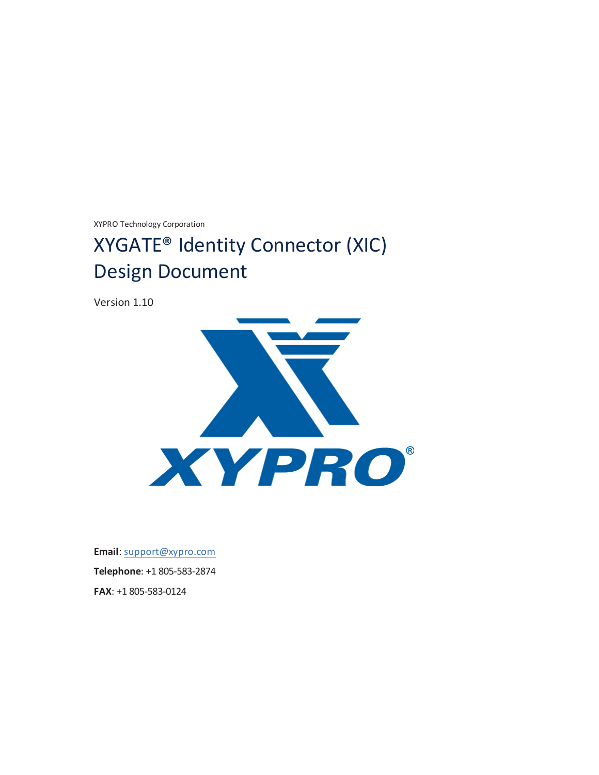XYPRO Technology Corporation

# XYGATE® Identity Connector (XIC) Design Document

Version 1.10



**Email**: [support@xypro.com](mailto:support@xypro.com) **Telephone**: +1 805-583-2874 **FAX**: +1 805-583-0124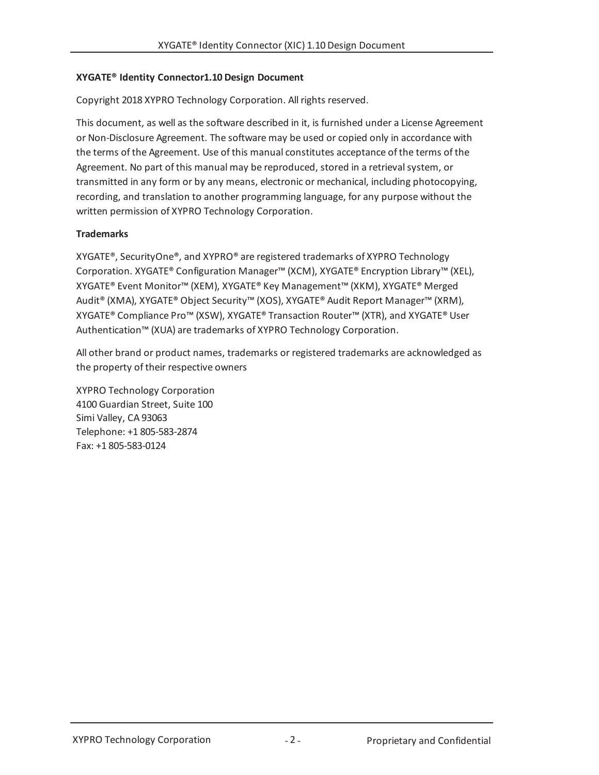### **XYGATE® Identity Connector1.10 Design Document**

Copyright 2018 XYPRO Technology Corporation. All rights reserved.

This document, as well as the software described in it, is furnished under a License Agreement or Non-Disclosure Agreement. The software may be used or copied only in accordance with the terms of the Agreement. Use of this manual constitutes acceptance of the terms of the Agreement. No part of this manual may be reproduced, stored in a retrieval system, or transmitted in any form or by any means, electronic or mechanical, including photocopying, recording, and translation to another programming language, for any purpose without the written permission of XYPRO Technology Corporation.

### **Trademarks**

XYGATE®, SecurityOne®, and XYPRO® are registered trademarks of XYPRO Technology Corporation. XYGATE® Configuration Manager™ (XCM), XYGATE® Encryption Library™ (XEL), XYGATE® Event Monitor™ (XEM), XYGATE® Key Management™ (XKM), XYGATE® Merged Audit® (XMA), XYGATE® Object Security™ (XOS), XYGATE® Audit Report Manager™ (XRM), XYGATE® Compliance Pro™ (XSW), XYGATE® Transaction Router™ (XTR), and XYGATE® User Authentication™ (XUA) are trademarks of XYPRO Technology Corporation.

All other brand or product names, trademarks or registered trademarks are acknowledged as the property of their respective owners

XYPRO Technology Corporation 4100 Guardian Street, Suite 100 Simi Valley, CA 93063 Telephone: +1 805-583-2874 Fax: +1 805-583-0124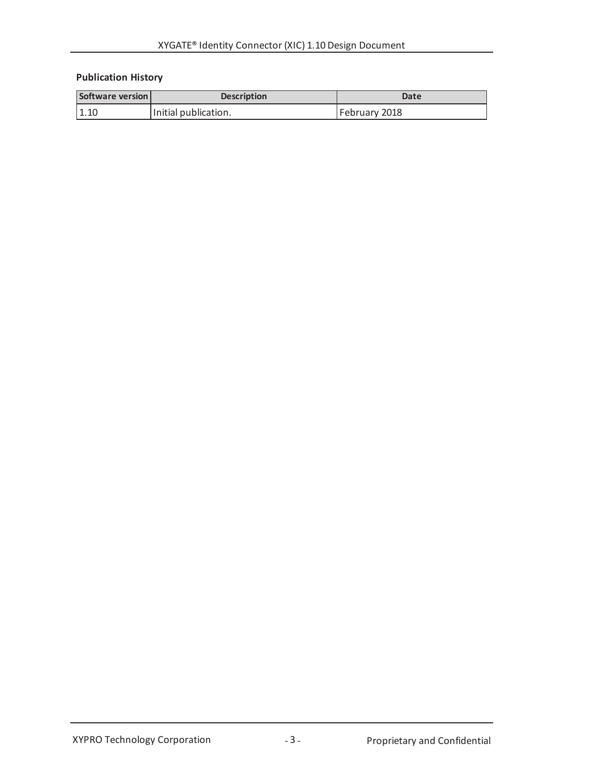## **Publication History**

| Software version | <b>Description</b>   | Date          |
|------------------|----------------------|---------------|
| 1.10             | Initial publication. | February 2018 |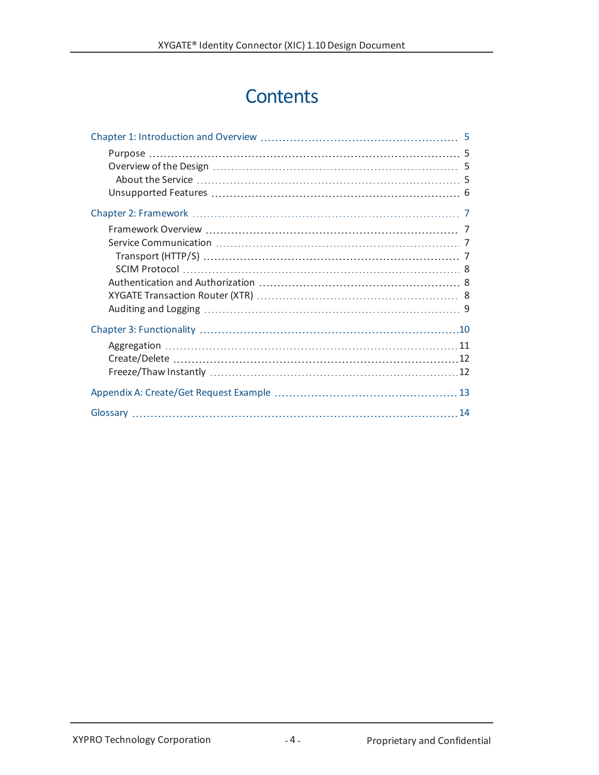# **Contents**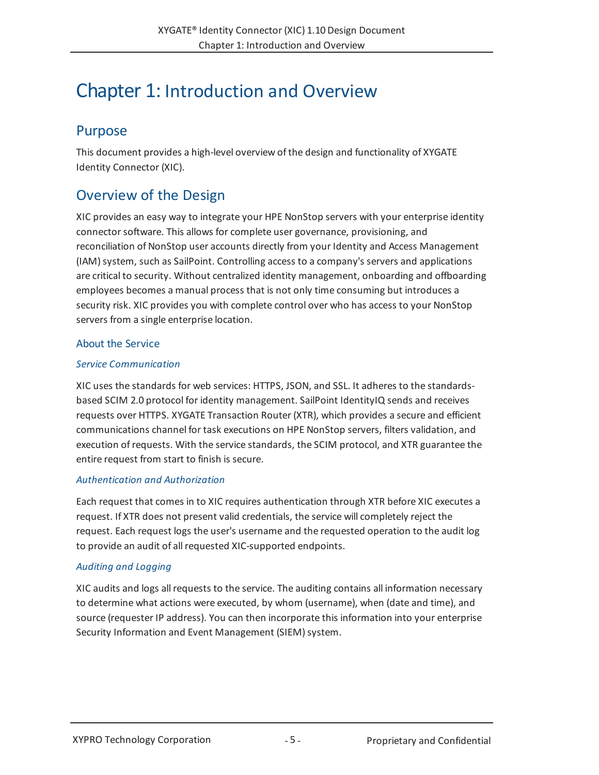# <span id="page-4-0"></span>Chapter 1: Introduction and Overview

## <span id="page-4-1"></span>Purpose

This document provides a high-level overview of the design and functionality of XYGATE Identity Connector (XIC).

# <span id="page-4-2"></span>Overview of the Design

XIC provides an easy way to integrate your HPE NonStop servers with your enterprise identity connector software. This allows for complete user governance, provisioning, and reconciliation of NonStop user accounts directly from your Identity and Access Management (IAM) system, such as SailPoint. Controlling access to a company's servers and applications are critical to security. Without centralized identity management, onboarding and offboarding employees becomes a manual process that is not only time consuming but introduces a security risk. XIC provides you with complete control over who has access to your NonStop servers from a single enterprise location.

## <span id="page-4-3"></span>About the Service

### *Service Communication*

XIC uses the standards for web services: HTTPS, JSON, and SSL. It adheres to the standardsbased SCIM 2.0 protocol for identity management. SailPoint IdentityIQ sends and receives requests over HTTPS. XYGATE Transaction Router (XTR), which provides a secure and efficient communications channel for task executions on HPE NonStop servers, filters validation, and execution ofrequests. With the service standards, the SCIM protocol, and XTR guarantee the entire request from start to finish is secure.

### *Authentication and Authorization*

Each request that comes in to XIC requires authentication through XTR before XIC executes a request. If XTR does not present valid credentials, the service will completely reject the request. Each request logs the user's username and the requested operation to the audit log to provide an audit of all requested XIC-supported endpoints.

## *Auditing and Logging*

XIC audits and logs all requests to the service. The auditing contains all information necessary to determine what actions were executed, by whom (username), when (date and time), and source (requester IP address). You can then incorporate this information into your enterprise Security Information and Event Management (SIEM) system.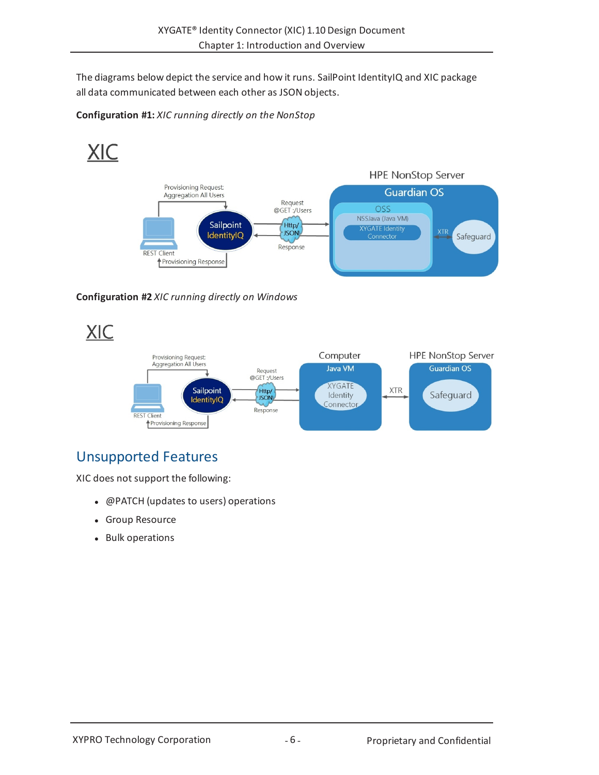The diagrams below depict the service and how it runs. SailPoint IdentityIQ and XIC package all data communicated between each other as JSON objects.

**Configuration #1:** *XIC running directly on the NonStop*



**Configuration #2** *XIC running directly on Windows*

**XIC** 



# <span id="page-5-0"></span>Unsupported Features

XIC does not support the following:

- @PATCH (updates to users) operations
- Group Resource
- Bulk operations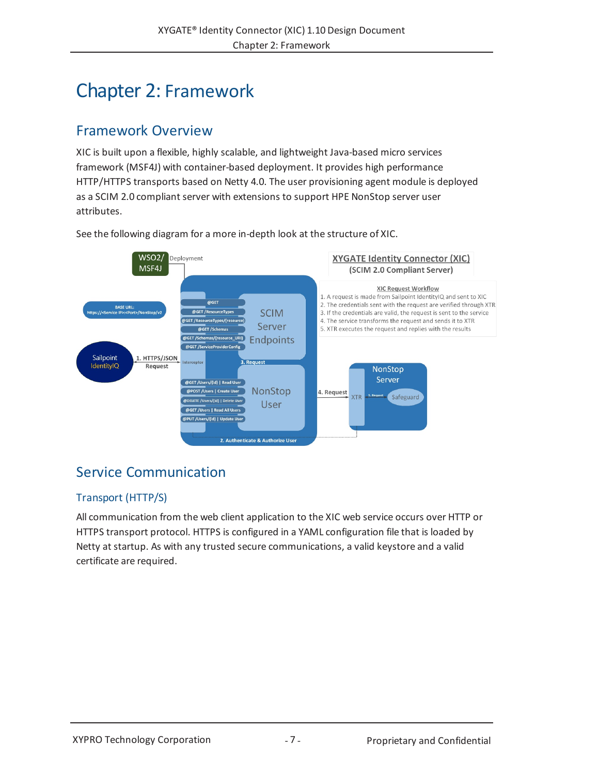# <span id="page-6-0"></span>Chapter 2: Framework

## <span id="page-6-1"></span>Framework Overview

XIC is built upon a flexible, highly scalable, and lightweight Java-based micro services framework (MSF4J) with container-based deployment. It provides high performance HTTP/HTTPS transports based on Netty 4.0. The user provisioning agent module is deployed as a SCIM 2.0 compliant server with extensions to support HPE NonStop server user attributes.

See the following diagram for a more in-depth look at the structure of XIC.



# <span id="page-6-2"></span>Service Communication

## <span id="page-6-3"></span>Transport (HTTP/S)

All communication from the web client application to the XIC web service occurs over HTTP or HTTPS transport protocol. HTTPS is configured in a YAML configuration file that is loaded by Netty at startup. As with any trusted secure communications, a valid keystore and a valid certificate are required.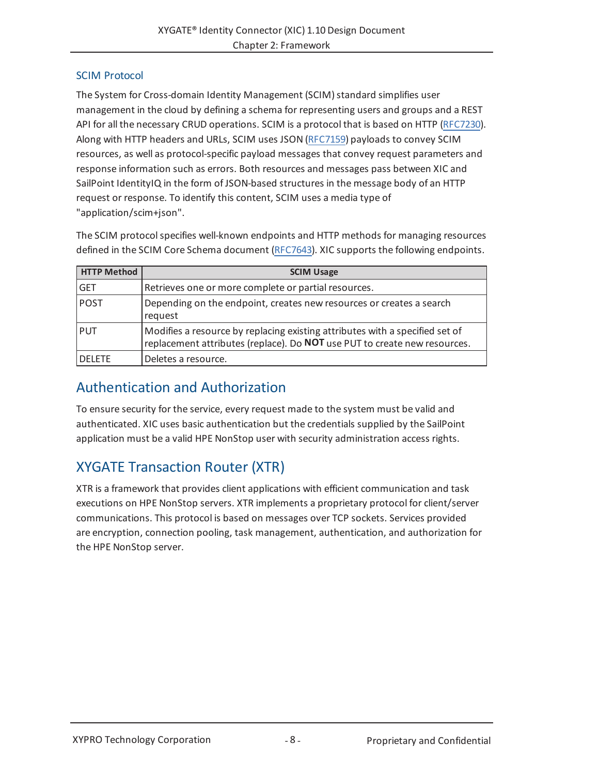## <span id="page-7-0"></span>SCIM Protocol

The System for Cross-domain Identity Management (SCIM) standard simplifies user management in the cloud by defining a schema for representing users and groups and a REST API for all the necessary CRUD operations. SCIM is a protocol that is based on HTTP [\(RFC7230](https://tools.ietf.org/html/rfc7230)). Along with HTTP headers and URLs, SCIM uses JSON [\(RFC7159](https://tools.ietf.org/html/rfc7159)) payloads to convey SCIM resources, as well as protocol-specific payload messages that convey request parameters and response information such as errors. Both resources and messages pass between XIC and SailPoint IdentityIQ in the form of JSON-based structures in the message body of an HTTP request or response. To identify this content, SCIM uses a media type of "application/scim+json".

The SCIM protocolspecifies well-known endpoints and HTTP methods for managing resources defined in the SCIM Core Schema document [\(RFC7643\)](https://tools.ietf.org/html/rfc7643). XIC supports the following endpoints.

| <b>HTTP Method</b> | <b>SCIM Usage</b>                                                                                                                                         |  |
|--------------------|-----------------------------------------------------------------------------------------------------------------------------------------------------------|--|
| <b>GET</b>         | Retrieves one or more complete or partial resources.                                                                                                      |  |
| <b>POST</b>        | Depending on the endpoint, creates new resources or creates a search<br>request                                                                           |  |
| <b>PUT</b>         | Modifies a resource by replacing existing attributes with a specified set of<br>replacement attributes (replace). Do NOT use PUT to create new resources. |  |
| <b>DELETE</b>      | Deletes a resource.                                                                                                                                       |  |

## <span id="page-7-1"></span>Authentication and Authorization

To ensure security for the service, every request made to the system must be valid and authenticated. XIC uses basic authentication but the credentials supplied by the SailPoint application must be a valid HPE NonStop user with security administration access rights.

# <span id="page-7-2"></span>XYGATE Transaction Router (XTR)

XTR is a framework that provides client applications with efficient communication and task executions on HPE NonStop servers. XTR implements a proprietary protocol for client/server communications. This protocol is based on messages over TCP sockets. Services provided are encryption, connection pooling, task management, authentication, and authorization for the HPE NonStop server.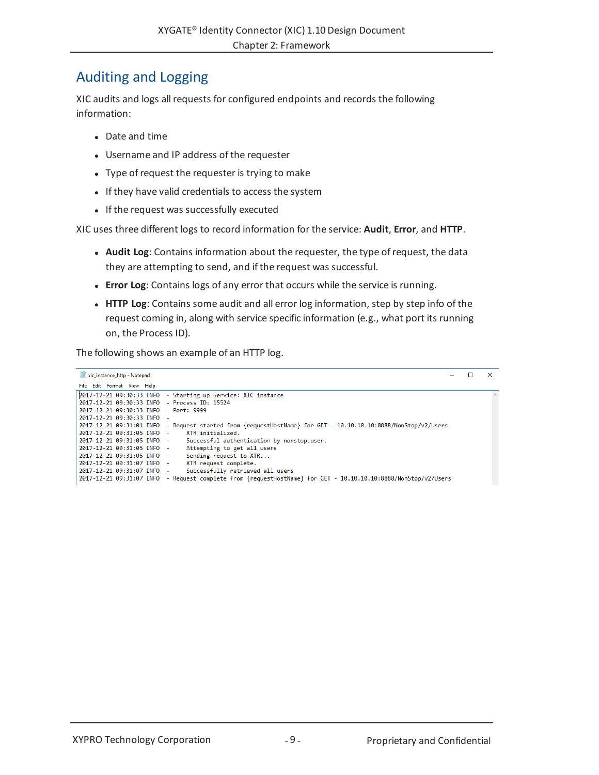## <span id="page-8-0"></span>Auditing and Logging

XIC audits and logs all requests for configured endpoints and records the following information:

- $\bullet$  Date and time
- Username and IP address of the requester
- Type of request the requester is trying to make
- If they have valid credentials to access the system
- If the request was successfully executed

XIC uses three different logs to record information for the service: **Audit**, **Error**, and **HTTP**.

- **Audit Log**: Contains information about the requester, the type of request, the data they are attempting to send, and if the request was successful.
- **Error Log**: Contains logs of any error that occurs while the service is running.
- **.** HTTP Log: Contains some audit and all error log information, step by step info of the request coming in, along with service specific information (e.g., what port its running on, the Process ID).

The following shows an example of an HTTP log.

| xic instance http - Notepad                  |                                                                                       | $\times$ |
|----------------------------------------------|---------------------------------------------------------------------------------------|----------|
| File Edit Format View Help                   |                                                                                       |          |
|                                              | 2017-12-21 09:30:33 INFO - Starting up Service: XIC instance                          |          |
| 2017-12-21 09:30:33 INFO - Process ID: 15524 |                                                                                       |          |
| 2017-12-21 09:30:33 INFO - Port: 9999        |                                                                                       |          |
| 2017-12-21 09:30:33 INFO -                   |                                                                                       |          |
| 2017-12-21 09:31:01 TNFO                     | - Request started from {requestHostName} for GET - 10.10.10.10:8888/NonStop/v2/Users  |          |
| 2017-12-21 09:31:05 INFO -                   | XTR initialized.                                                                      |          |
| 2017-12-21 09:31:05 INFO -                   | Successful authentication by nonstop.user.                                            |          |
| 2017-12-21 09:31:05 INFO -                   | Attempting to get all users                                                           |          |
| 2017-12-21 09:31:05 INFO -                   | Sending request to XTR                                                                |          |
| 2017-12-21 09:31:07 TNFO -                   | XTR request complete.                                                                 |          |
| 2017-12-21 09:31:07 INFO -                   | Successfully retrieved all users                                                      |          |
| 2017-12-21 09:31:07 INFO                     | - Request complete from {requestHostName} for GET - 10.10.10.10:8888/NonStop/v2/Users |          |
|                                              |                                                                                       |          |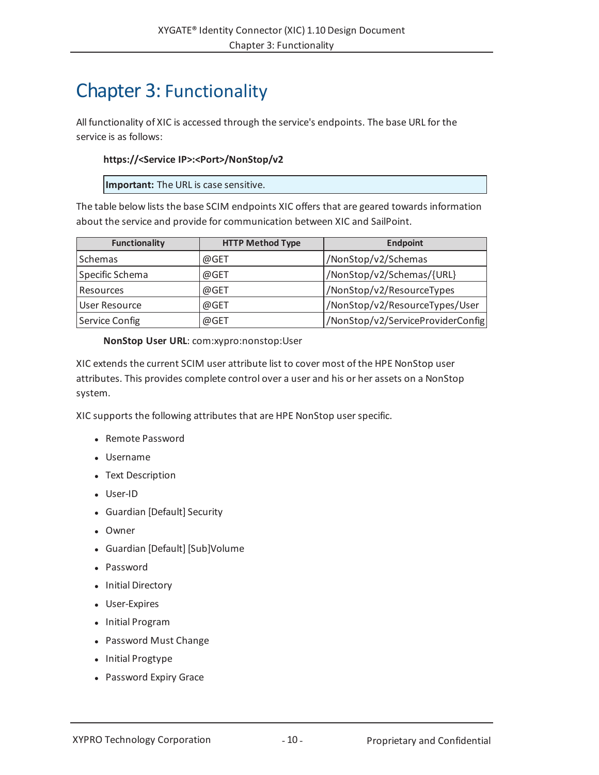# <span id="page-9-0"></span>Chapter 3: Functionality

All functionality of XIC is accessed through the service's endpoints. The base URL for the service is as follows:

### **https://<Service IP>:<Port>/NonStop/v2**

**Important:** The URL is case sensitive.

The table below lists the base SCIM endpoints XIC offers that are geared towards information about the service and provide for communication between XIC and SailPoint.

| <b>Functionality</b> | <b>HTTP Method Type</b> | <b>Endpoint</b>                   |
|----------------------|-------------------------|-----------------------------------|
| Schemas              | @GET                    | /NonStop/v2/Schemas               |
| Specific Schema      | @GET                    | /NonStop/v2/Schemas/{URL}         |
| Resources            | @GET                    | /NonStop/v2/ResourceTypes         |
| User Resource        | @GET                    | /NonStop/v2/ResourceTypes/User    |
| Service Config       | @GET                    | /NonStop/v2/ServiceProviderConfig |

**NonStop User URL**: com:xypro:nonstop:User

XIC extends the current SCIM user attribute list to cover most of the HPE NonStop user attributes. This provides complete control over a user and his or her assets on a NonStop system.

XIC supports the following attributes that are HPE NonStop user specific.

- Remote Password
- Username
- Text Description
- User-ID
- Guardian [Default] Security
- Owner
- Guardian [Default] [Sub]Volume
- Password
- Initial Directory
- User-Expires
- Initial Program
- Password Must Change
- Initial Progtype
- Password Expiry Grace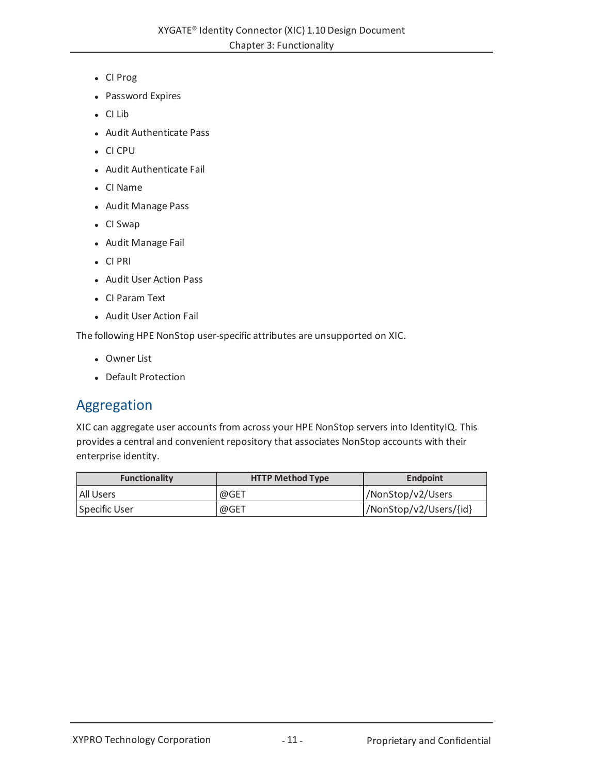- <sup>l</sup> CI Prog
- Password Expires
- $\bullet$  CI Lib
- Audit Authenticate Pass
- <sup>l</sup> CI CPU
- Audit Authenticate Fail
- CI Name
- Audit Manage Pass
- CI Swap
- Audit Manage Fail
- $\bullet$  CI PRI
- Audit User Action Pass
- CI Param Text
- Audit User Action Fail

The following HPE NonStop user-specific attributes are unsupported on XIC.

- Owner List
- Default Protection

## <span id="page-10-0"></span>Aggregation

XIC can aggregate user accounts from across your HPE NonStop servers into IdentityIQ. This provides a central and convenient repository that associates NonStop accounts with their enterprise identity.

| Functionality | <b>HTTP Method Type</b> | <b>Endpoint</b>        |
|---------------|-------------------------|------------------------|
| l All Users   | @GET                    | l/NonStop/v2/Users     |
| Specific User | @GET                    | /NonStop/v2/Users/{id} |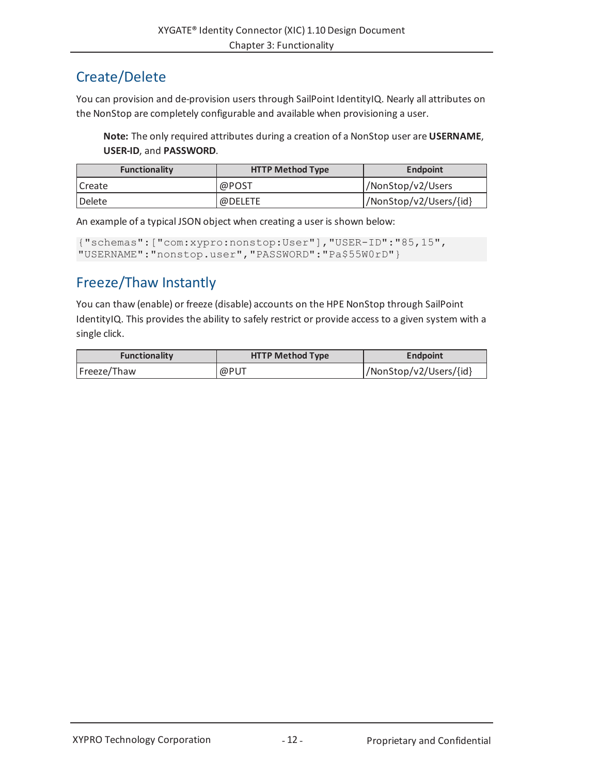# <span id="page-11-0"></span>Create/Delete

You can provision and de-provision users through SailPoint IdentityIQ. Nearly all attributes on the NonStop are completely configurable and available when provisioning a user.

**Note:** The only required attributes during a creation of a NonStop user are **USERNAME**, **USER-ID**, and **PASSWORD**.

| Functionality | <b>HTTP Method Type</b> | <b>Endpoint</b>         |
|---------------|-------------------------|-------------------------|
| Create        | @POST                   | /NonStop/v2/Users       |
| Delete        | @DELETE                 | //NonStop/v2/Users/{id} |

An example of a typical JSON object when creating a user is shown below:

```
{"schemas":["com:xypro:nonstop:User"],"USER-ID":"85,15",
"USERNAME":"nonstop.user","PASSWORD":"Pa$55W0rD"}
```
# <span id="page-11-1"></span>Freeze/Thaw Instantly

You can thaw (enable) or freeze (disable) accounts on the HPE NonStop through SailPoint IdentityIQ. This provides the ability to safely restrict or provide access to a given system with a single click.

| <b>Functionality</b> | <b>HTTP Method Type</b> | <b>Endpoint</b>         |
|----------------------|-------------------------|-------------------------|
| Freeze/Thaw          | @PUT                    | //NonStop/v2/Users/{id} |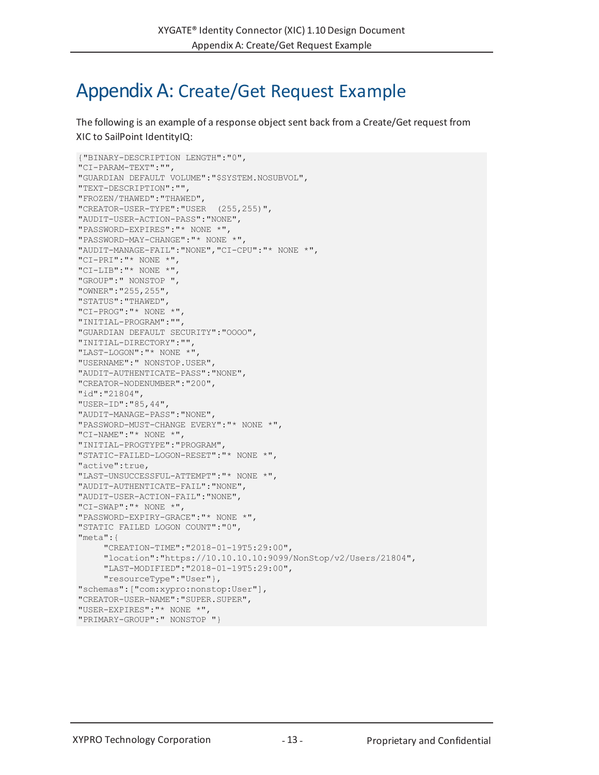# <span id="page-12-0"></span>Appendix A: Create/Get Request Example

The following is an example of a response object sent back from a Create/Get request from XIC to SailPoint IdentityIQ:

```
{"BINARY-DESCRIPTION LENGTH":"0",
"CI-PARAM-TEXT":"",
"GUARDIAN DEFAULT VOLUME":"$SYSTEM.NOSUBVOL",
"TEXT-DESCRIPTION":"",
"FROZEN/THAWED":"THAWED",
"CREATOR-USER-TYPE":"USER (255,255)",
"AUDIT-USER-ACTION-PASS":"NONE",
"PASSWORD-EXPIRES":"* NONE *",
"PASSWORD-MAY-CHANGE":"* NONE *",
"AUDIT-MANAGE-FAIL":"NONE","CI-CPU":"* NONE *",
"CI-PRI":"* NONE *",
"CI-LIB":"* NONE *",
"GROUP":" NONSTOP ",
"OWNER":"255,255",
"STATUS":"THAWED",
"CI-PROG":"* NONE *",
"INITIAL-PROGRAM":"",
"GUARDIAN DEFAULT SECURITY":"OOOO",
"INITIAL-DIRECTORY":"",
"LAST-LOGON":"* NONE *",
"USERNAME":" NONSTOP.USER",
"AUDIT-AUTHENTICATE-PASS":"NONE",
"CREATOR-NODENUMBER":"200",
"id":"21804",
"USER-ID":"85,44",
"AUDIT-MANAGE-PASS":"NONE",
"PASSWORD-MUST-CHANGE EVERY":"* NONE *",
"CI-NAME":"* NONE *",
"INITIAL-PROGTYPE":"PROGRAM",
"STATIC-FAILED-LOGON-RESET":"* NONE *",
"active":true,
"LAST-UNSUCCESSFUL-ATTEMPT":"* NONE *",
"AUDIT-AUTHENTICATE-FAIL":"NONE",
"AUDIT-USER-ACTION-FAIL":"NONE",
"CI-SWAP":"* NONE *",
"PASSWORD-EXPIRY-GRACE":"* NONE *",
"STATIC FAILED LOGON COUNT":"0",
"meta":{
     "CREATION-TIME":"2018-01-19T5:29:00",
     "location":"https://10.10.10.10:9099/NonStop/v2/Users/21804",
     "LAST-MODIFIED":"2018-01-19T5:29:00",
     "resourceType":"User"},
"schemas":["com:xypro:nonstop:User"],
"CREATOR-USER-NAME":"SUPER.SUPER",
"USER-EXPIRES":"* NONE *",
"PRIMARY-GROUP":" NONSTOP "}
```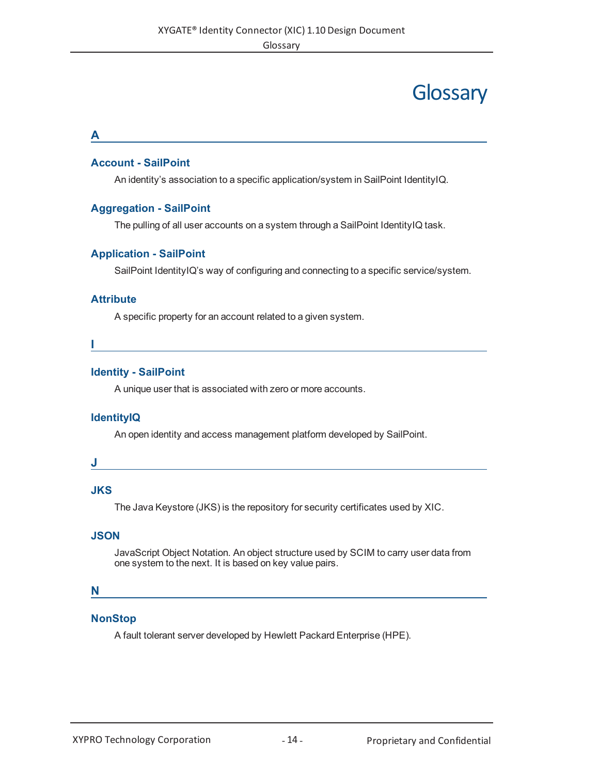# **Glossary**

#### <span id="page-13-0"></span>**A**

### **Account - SailPoint**

An identity's association to a specific application/system in SailPoint IdentityIQ.

### **Aggregation - SailPoint**

The pulling of all user accounts on a system through a SailPoint IdentityIQ task.

### **Application - SailPoint**

SailPoint IdentityIQ's way of configuring and connecting to a specific service/system.

### **Attribute**

A specific property for an account related to a given system.

**I**

#### **Identity - SailPoint**

A unique user that is associated with zero or more accounts.

### **IdentityIQ**

An open identity and access management platform developed by SailPoint.

#### **J**

### **JKS**

The Java Keystore (JKS) is the repository for security certificates used by XIC.

### **JSON**

JavaScript Object Notation. An object structure used by SCIM to carry user data from one system to the next. It is based on key value pairs.

### **N**

### **NonStop**

A fault tolerant server developed by Hewlett Packard Enterprise (HPE).